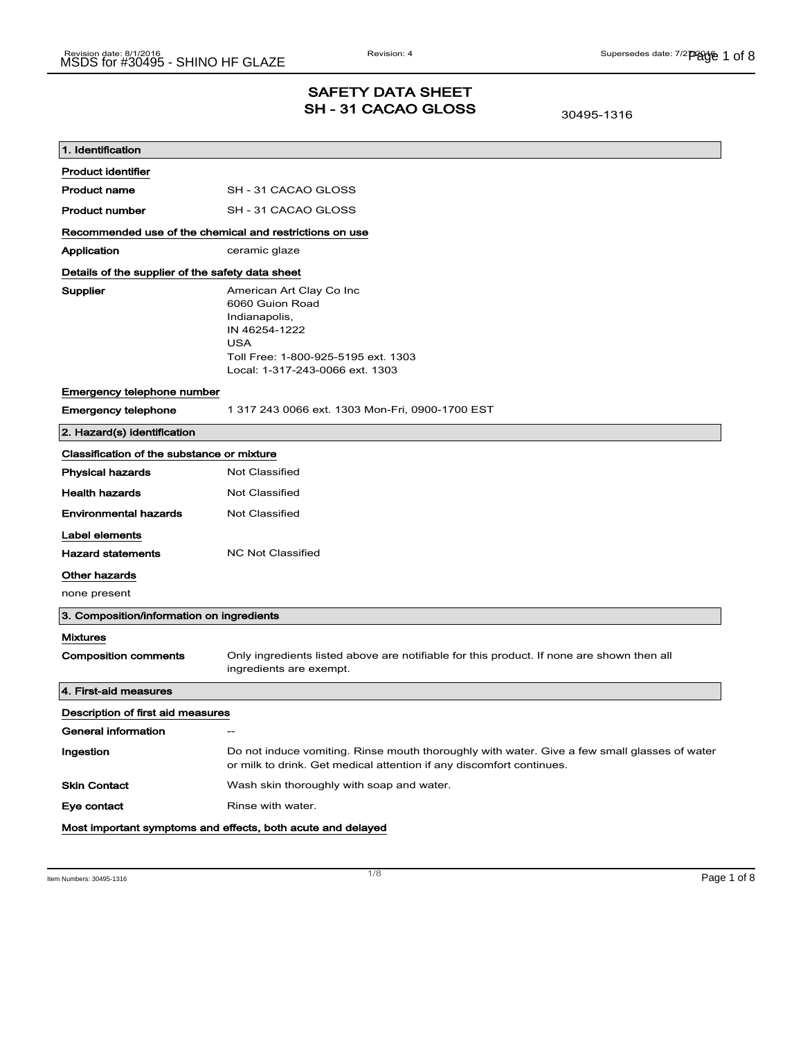# SAFETY DATA SHEET SH - 31 CACAO GLOSS

30495-1316

| 1. Identification                                           |                                                                                                                                                                       |  |
|-------------------------------------------------------------|-----------------------------------------------------------------------------------------------------------------------------------------------------------------------|--|
| <b>Product identifier</b>                                   |                                                                                                                                                                       |  |
| <b>Product name</b>                                         | SH-31 CACAO GLOSS                                                                                                                                                     |  |
| <b>Product number</b>                                       | SH - 31 CACAO GLOSS                                                                                                                                                   |  |
| Recommended use of the chemical and restrictions on use     |                                                                                                                                                                       |  |
| Application                                                 | ceramic glaze                                                                                                                                                         |  |
| Details of the supplier of the safety data sheet            |                                                                                                                                                                       |  |
| Supplier                                                    | American Art Clay Co Inc<br>6060 Guion Road<br>Indianapolis,<br>IN 46254-1222<br><b>USA</b><br>Toll Free: 1-800-925-5195 ext. 1303<br>Local: 1-317-243-0066 ext. 1303 |  |
| Emergency telephone number                                  |                                                                                                                                                                       |  |
| <b>Emergency telephone</b>                                  | 1 317 243 0066 ext. 1303 Mon-Fri, 0900-1700 EST                                                                                                                       |  |
| 2. Hazard(s) identification                                 |                                                                                                                                                                       |  |
| Classification of the substance or mixture                  |                                                                                                                                                                       |  |
| <b>Physical hazards</b>                                     | <b>Not Classified</b>                                                                                                                                                 |  |
| <b>Health hazards</b>                                       | <b>Not Classified</b>                                                                                                                                                 |  |
| <b>Environmental hazards</b>                                | Not Classified                                                                                                                                                        |  |
| Label elements                                              |                                                                                                                                                                       |  |
| <b>Hazard statements</b>                                    | <b>NC Not Classified</b>                                                                                                                                              |  |
| Other hazards                                               |                                                                                                                                                                       |  |
| none present                                                |                                                                                                                                                                       |  |
| 3. Composition/information on ingredients                   |                                                                                                                                                                       |  |
| <b>Mixtures</b>                                             |                                                                                                                                                                       |  |
| <b>Composition comments</b>                                 | Only ingredients listed above are notifiable for this product. If none are shown then all<br>ingredients are exempt.                                                  |  |
| 4. First-aid measures                                       |                                                                                                                                                                       |  |
| Description of first aid measures                           |                                                                                                                                                                       |  |
| General information                                         |                                                                                                                                                                       |  |
| Ingestion                                                   | Do not induce vomiting. Rinse mouth thoroughly with water. Give a few small glasses of water<br>or milk to drink. Get medical attention if any discomfort continues.  |  |
| <b>Skin Contact</b>                                         | Wash skin thoroughly with soap and water.                                                                                                                             |  |
| Eye contact                                                 | Rinse with water.                                                                                                                                                     |  |
| Most important symptoms and effects, both acute and delayed |                                                                                                                                                                       |  |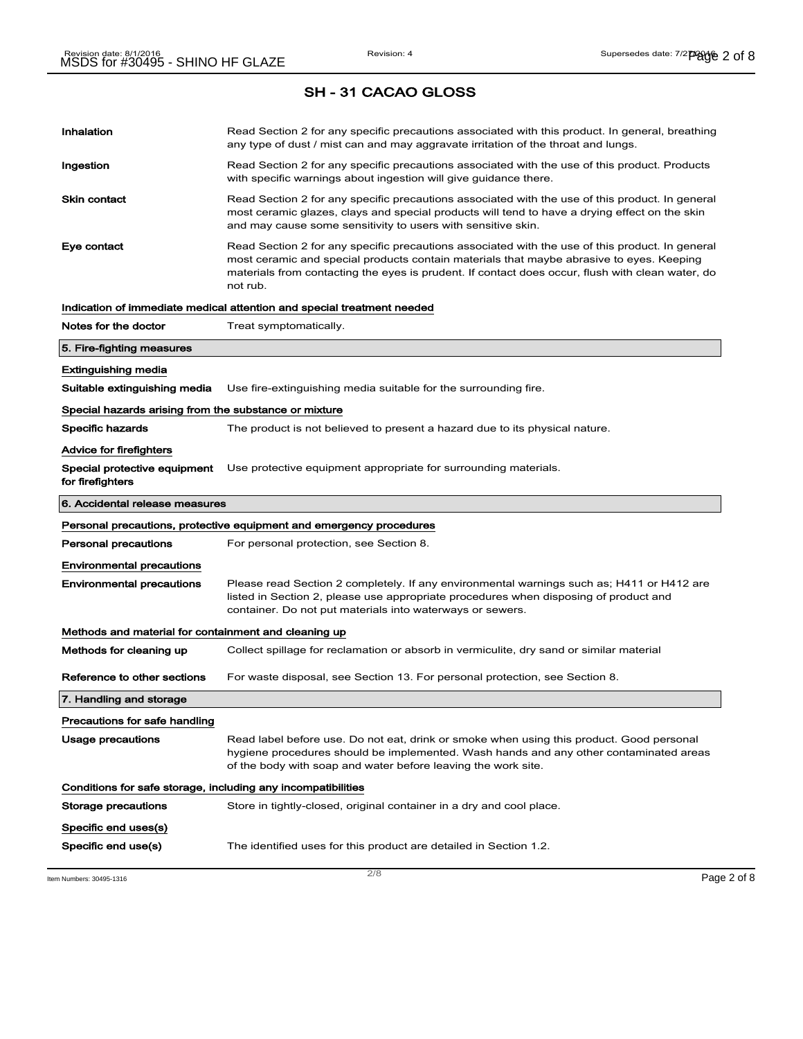|                                                              | <b>SH-31 CACAO GLOSS</b>                                                                                                                                                                                                                                                                                    |  |
|--------------------------------------------------------------|-------------------------------------------------------------------------------------------------------------------------------------------------------------------------------------------------------------------------------------------------------------------------------------------------------------|--|
| Inhalation                                                   | Read Section 2 for any specific precautions associated with this product. In general, breathing<br>any type of dust / mist can and may aggravate irritation of the throat and lungs.                                                                                                                        |  |
| Ingestion                                                    | Read Section 2 for any specific precautions associated with the use of this product. Products<br>with specific warnings about ingestion will give guidance there.                                                                                                                                           |  |
| <b>Skin contact</b>                                          | Read Section 2 for any specific precautions associated with the use of this product. In general<br>most ceramic glazes, clays and special products will tend to have a drying effect on the skin<br>and may cause some sensitivity to users with sensitive skin.                                            |  |
| Eye contact                                                  | Read Section 2 for any specific precautions associated with the use of this product. In general<br>most ceramic and special products contain materials that maybe abrasive to eyes. Keeping<br>materials from contacting the eyes is prudent. If contact does occur, flush with clean water, do<br>not rub. |  |
|                                                              | Indication of immediate medical attention and special treatment needed                                                                                                                                                                                                                                      |  |
| Notes for the doctor                                         | Treat symptomatically.                                                                                                                                                                                                                                                                                      |  |
| 5. Fire-fighting measures                                    |                                                                                                                                                                                                                                                                                                             |  |
| <b>Extinguishing media</b>                                   |                                                                                                                                                                                                                                                                                                             |  |
| Suitable extinguishing media                                 | Use fire-extinguishing media suitable for the surrounding fire.                                                                                                                                                                                                                                             |  |
| Special hazards arising from the substance or mixture        |                                                                                                                                                                                                                                                                                                             |  |
| Specific hazards                                             | The product is not believed to present a hazard due to its physical nature.                                                                                                                                                                                                                                 |  |
| Advice for firefighters                                      |                                                                                                                                                                                                                                                                                                             |  |
| Special protective equipment<br>for firefighters             | Use protective equipment appropriate for surrounding materials.                                                                                                                                                                                                                                             |  |
| 6. Accidental release measures                               |                                                                                                                                                                                                                                                                                                             |  |
|                                                              | Personal precautions, protective equipment and emergency procedures                                                                                                                                                                                                                                         |  |
| Personal precautions                                         | For personal protection, see Section 8.                                                                                                                                                                                                                                                                     |  |
| <b>Environmental precautions</b>                             |                                                                                                                                                                                                                                                                                                             |  |
| <b>Environmental precautions</b>                             | Please read Section 2 completely. If any environmental warnings such as; H411 or H412 are<br>listed in Section 2, please use appropriate procedures when disposing of product and<br>container. Do not put materials into waterways or sewers.                                                              |  |
| Methods and material for containment and cleaning up         |                                                                                                                                                                                                                                                                                                             |  |
| Methods for cleaning up                                      | Collect spillage for reclamation or absorb in vermiculite, dry sand or similar material                                                                                                                                                                                                                     |  |
| Reference to other sections                                  | For waste disposal, see Section 13. For personal protection, see Section 8.                                                                                                                                                                                                                                 |  |
| 7. Handling and storage                                      |                                                                                                                                                                                                                                                                                                             |  |
| Precautions for safe handling                                |                                                                                                                                                                                                                                                                                                             |  |
| Usage precautions                                            | Read label before use. Do not eat, drink or smoke when using this product. Good personal<br>hygiene procedures should be implemented. Wash hands and any other contaminated areas<br>of the body with soap and water before leaving the work site.                                                          |  |
| Conditions for safe storage, including any incompatibilities |                                                                                                                                                                                                                                                                                                             |  |
| Storage precautions                                          | Store in tightly-closed, original container in a dry and cool place.                                                                                                                                                                                                                                        |  |
| Specific end uses(s)                                         |                                                                                                                                                                                                                                                                                                             |  |
| Specific end use(s)                                          | The identified uses for this product are detailed in Section 1.2.                                                                                                                                                                                                                                           |  |

Item Numbers: 30495-1316 **Page 2 of 8**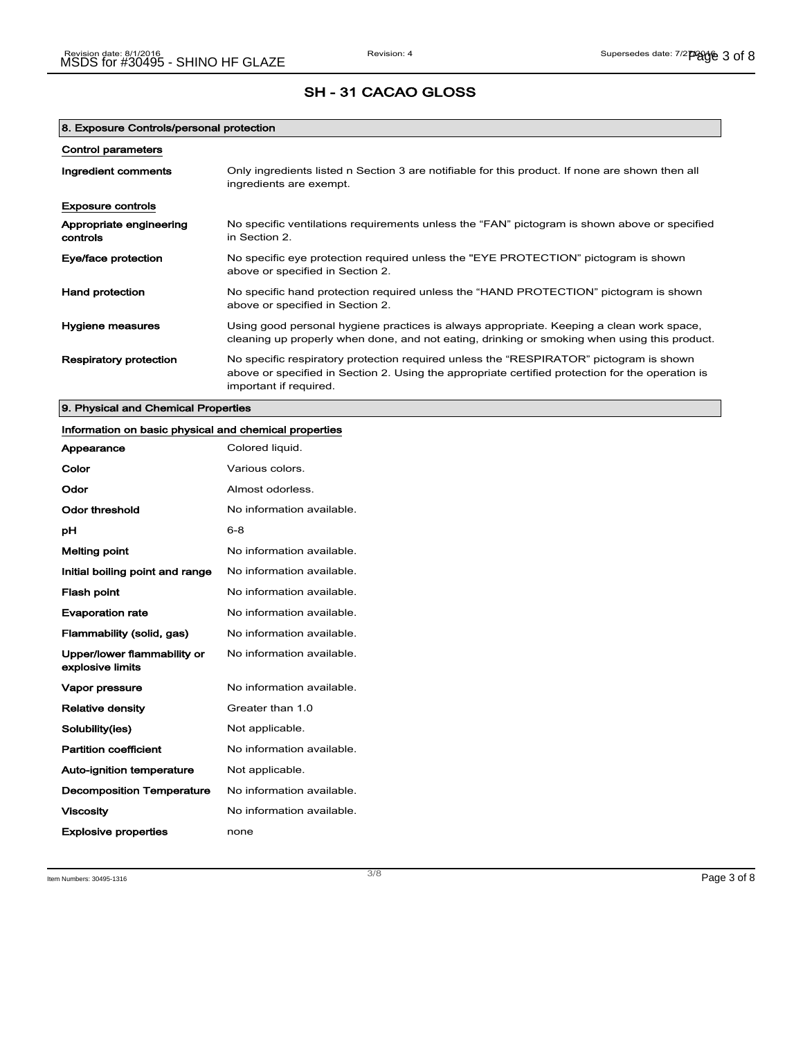| 8. Exposure Controls/personal protection |                                                                                                                                                                                                                      |
|------------------------------------------|----------------------------------------------------------------------------------------------------------------------------------------------------------------------------------------------------------------------|
| <b>Control parameters</b>                |                                                                                                                                                                                                                      |
| Ingredient comments                      | Only ingredients listed n Section 3 are notifiable for this product. If none are shown then all<br>ingredients are exempt.                                                                                           |
| <b>Exposure controls</b>                 |                                                                                                                                                                                                                      |
| Appropriate engineering<br>controls      | No specific ventilations requirements unless the "FAN" pictogram is shown above or specified<br>in Section 2.                                                                                                        |
| Eye/face protection                      | No specific eye protection required unless the "EYE PROTECTION" pictogram is shown<br>above or specified in Section 2.                                                                                               |
| <b>Hand protection</b>                   | No specific hand protection required unless the "HAND PROTECTION" pictogram is shown<br>above or specified in Section 2.                                                                                             |
| Hygiene measures                         | Using good personal hygiene practices is always appropriate. Keeping a clean work space,<br>cleaning up properly when done, and not eating, drinking or smoking when using this product.                             |
| <b>Respiratory protection</b>            | No specific respiratory protection required unless the "RESPIRATOR" pictogram is shown<br>above or specified in Section 2. Using the appropriate certified protection for the operation is<br>important if required. |

9. Physical and Chemical Properties

### Information on basic physical and chemical properties

| Appearance                                      | Colored liquid.           |
|-------------------------------------------------|---------------------------|
| Color                                           | Various colors.           |
| Odor                                            | Almost odorless.          |
| <b>Odor threshold</b>                           | No information available. |
| рH                                              | $6 - 8$                   |
| <b>Melting point</b>                            | No information available. |
| Initial boiling point and range                 | No information available. |
| Flash point                                     | No information available. |
| <b>Evaporation rate</b>                         | No information available. |
| Flammability (solid, gas)                       | No information available. |
| Upper/lower flammability or<br>explosive limits | No information available. |
| Vapor pressure                                  | No information available. |
| <b>Relative density</b>                         | Greater than 1.0          |
| Solubility(ies)                                 | Not applicable.           |
| <b>Partition coefficient</b>                    | No information available. |
| Auto-ignition temperature                       | Not applicable.           |
| <b>Decomposition Temperature</b>                | No information available. |
| <b>Viscosity</b>                                | No information available. |
| <b>Explosive properties</b>                     | none                      |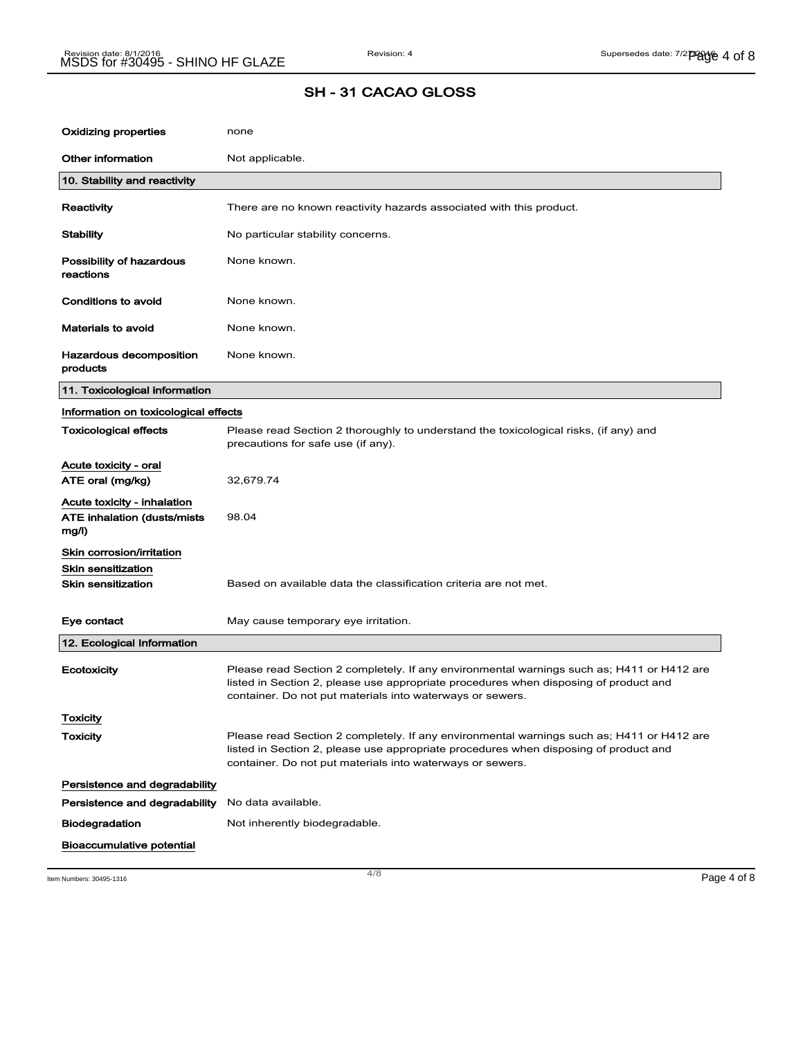| Oxidizing properties                                                        | none                                                                                                                                                                                                                                           |
|-----------------------------------------------------------------------------|------------------------------------------------------------------------------------------------------------------------------------------------------------------------------------------------------------------------------------------------|
| Other information                                                           | Not applicable.                                                                                                                                                                                                                                |
| 10. Stability and reactivity                                                |                                                                                                                                                                                                                                                |
| Reactivity                                                                  | There are no known reactivity hazards associated with this product.                                                                                                                                                                            |
| <b>Stability</b>                                                            | No particular stability concerns.                                                                                                                                                                                                              |
| Possibility of hazardous<br>reactions                                       | None known.                                                                                                                                                                                                                                    |
| Conditions to avoid                                                         | None known.                                                                                                                                                                                                                                    |
| <b>Materials to avoid</b>                                                   | None known.                                                                                                                                                                                                                                    |
| Hazardous decomposition<br>products                                         | None known.                                                                                                                                                                                                                                    |
| 11. Toxicological information                                               |                                                                                                                                                                                                                                                |
| Information on toxicological effects                                        |                                                                                                                                                                                                                                                |
| <b>Toxicological effects</b>                                                | Please read Section 2 thoroughly to understand the toxicological risks, (if any) and<br>precautions for safe use (if any).                                                                                                                     |
| Acute toxicity - oral                                                       |                                                                                                                                                                                                                                                |
| ATE oral (mg/kg)                                                            | 32,679.74                                                                                                                                                                                                                                      |
| Acute toxicity - inhalation<br><b>ATE inhalation (dusts/mists)</b><br>mg/l) | 98.04                                                                                                                                                                                                                                          |
| Skin corrosion/irritation                                                   |                                                                                                                                                                                                                                                |
| <b>Skin sensitization</b><br><b>Skin sensitization</b>                      | Based on available data the classification criteria are not met.                                                                                                                                                                               |
| Eye contact                                                                 | May cause temporary eye irritation.                                                                                                                                                                                                            |
| 12. Ecological Information                                                  |                                                                                                                                                                                                                                                |
| Ecotoxicity                                                                 | Please read Section 2 completely. If any environmental warnings such as; H411 or H412 are<br>listed in Section 2, please use appropriate procedures when disposing of product and<br>container. Do not put materials into waterways or sewers. |
| <b>Toxicity</b>                                                             |                                                                                                                                                                                                                                                |
| <b>Toxicity</b>                                                             | Please read Section 2 completely. If any environmental warnings such as; H411 or H412 are<br>listed in Section 2, please use appropriate procedures when disposing of product and<br>container. Do not put materials into waterways or sewers. |
| Persistence and degradability                                               |                                                                                                                                                                                                                                                |
| Persistence and degradability                                               | No data available.                                                                                                                                                                                                                             |
| Biodegradation                                                              | Not inherently biodegradable.                                                                                                                                                                                                                  |
| <b>Bioaccumulative potential</b>                                            |                                                                                                                                                                                                                                                |

Item Numbers: 30495-1316  $\overline{a}$   $\overline{a}$   $\overline{a}$   $\overline{b}$   $\overline{c}$   $\overline{d}$   $\overline{d}$   $\overline{b}$   $\overline{e}$   $\overline{a}$   $\overline{b}$   $\overline{c}$   $\overline{c}$   $\overline{a}$   $\overline{c}$   $\overline{c}$   $\overline{c}$   $\overline{c}$   $\overline{c}$   $\overline{c}$   $\overline{c}$   $\overline{c}$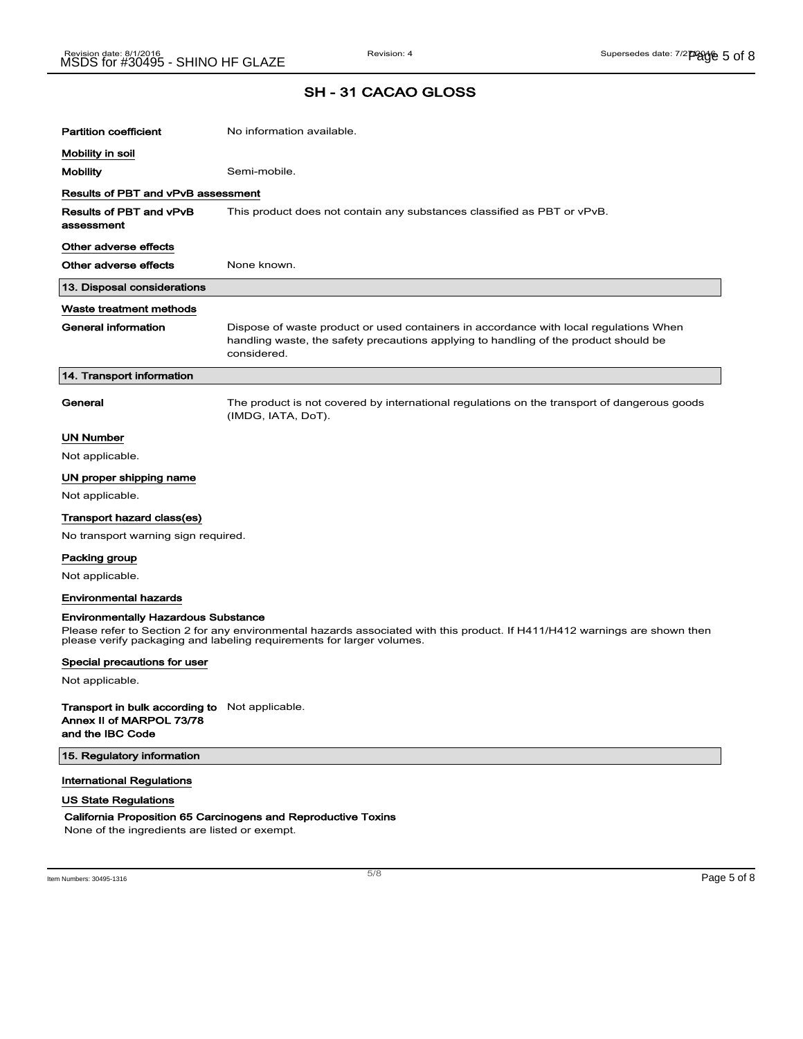| <b>Partition coefficient</b>                                                                                                                                                                        | No information available.                                                                                                                                                                    |  |
|-----------------------------------------------------------------------------------------------------------------------------------------------------------------------------------------------------|----------------------------------------------------------------------------------------------------------------------------------------------------------------------------------------------|--|
| Mobility in soil                                                                                                                                                                                    |                                                                                                                                                                                              |  |
| <b>Mobility</b>                                                                                                                                                                                     | Semi-mobile.                                                                                                                                                                                 |  |
| Results of PBT and vPvB assessment                                                                                                                                                                  |                                                                                                                                                                                              |  |
| Results of PBT and vPvB<br>assessment                                                                                                                                                               | This product does not contain any substances classified as PBT or vPvB.                                                                                                                      |  |
| Other adverse effects                                                                                                                                                                               |                                                                                                                                                                                              |  |
| Other adverse effects                                                                                                                                                                               | None known.                                                                                                                                                                                  |  |
| 13. Disposal considerations                                                                                                                                                                         |                                                                                                                                                                                              |  |
| Waste treatment methods                                                                                                                                                                             |                                                                                                                                                                                              |  |
| General information                                                                                                                                                                                 | Dispose of waste product or used containers in accordance with local regulations When<br>handling waste, the safety precautions applying to handling of the product should be<br>considered. |  |
| 14. Transport information                                                                                                                                                                           |                                                                                                                                                                                              |  |
| General                                                                                                                                                                                             | The product is not covered by international regulations on the transport of dangerous goods<br>(IMDG, IATA, DoT).                                                                            |  |
| <b>UN Number</b>                                                                                                                                                                                    |                                                                                                                                                                                              |  |
| Not applicable.                                                                                                                                                                                     |                                                                                                                                                                                              |  |
| UN proper shipping name                                                                                                                                                                             |                                                                                                                                                                                              |  |
| Not applicable.                                                                                                                                                                                     |                                                                                                                                                                                              |  |
| Transport hazard class(es)                                                                                                                                                                          |                                                                                                                                                                                              |  |
| No transport warning sign required.                                                                                                                                                                 |                                                                                                                                                                                              |  |
| Packing group                                                                                                                                                                                       |                                                                                                                                                                                              |  |
| Not applicable.                                                                                                                                                                                     |                                                                                                                                                                                              |  |
| <b>Environmental hazards</b>                                                                                                                                                                        |                                                                                                                                                                                              |  |
| <b>Environmentally Hazardous Substance</b>                                                                                                                                                          |                                                                                                                                                                                              |  |
| Please refer to Section 2 for any environmental hazards associated with this product. If H411/H412 warnings are shown then<br>please verify packaging and labeling requirements for larger volumes. |                                                                                                                                                                                              |  |
| Special precautions for user                                                                                                                                                                        |                                                                                                                                                                                              |  |
| Not applicable.                                                                                                                                                                                     |                                                                                                                                                                                              |  |
| <b>Transport in bulk according to</b> Not applicable.<br>Annex II of MARPOL 73/78<br>and the IBC Code                                                                                               |                                                                                                                                                                                              |  |

15. Regulatory information

International Regulations

### US State Regulations

#### California Proposition 65 Carcinogens and Reproductive Toxins

None of the ingredients are listed or exempt.

 $\overline{\phantom{a}}$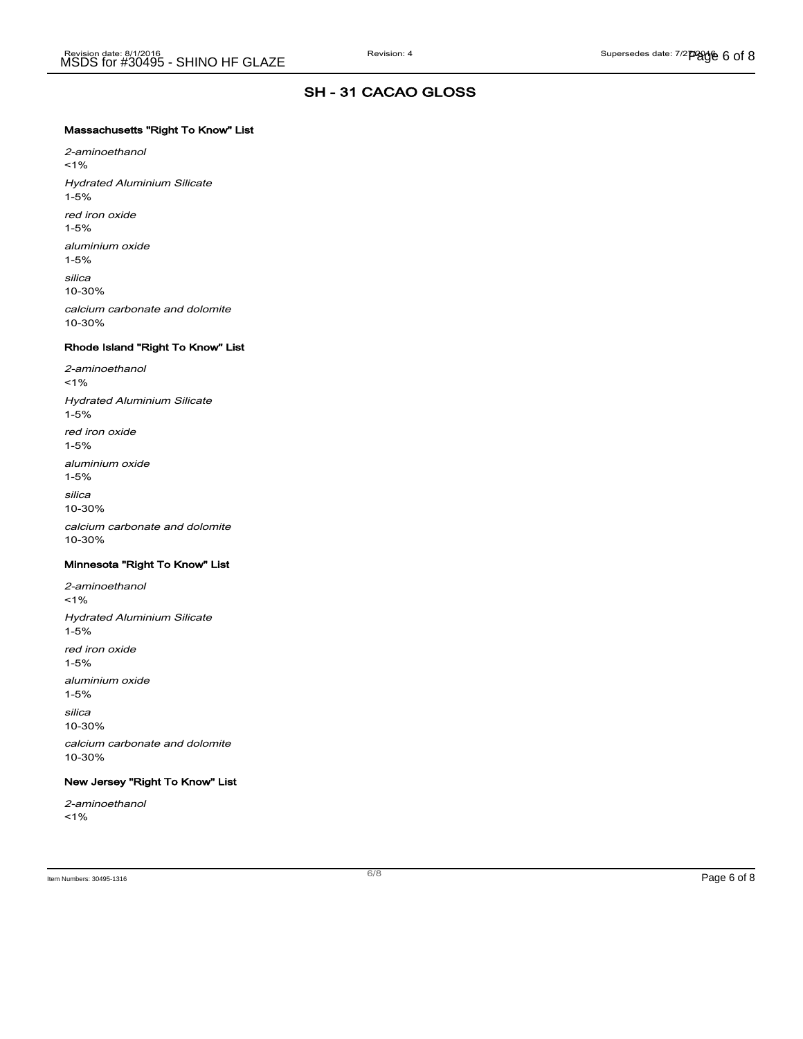### Massachusetts "Right To Know" List

2-aminoethanol  $1%$ Hydrated Aluminium Silicate 1-5% red iron oxide 1-5% aluminium oxide 1-5% silica 10-30% calcium carbonate and dolomite 10-30%

#### Rhode Island "Right To Know" List

2-aminoethanol <1% Hydrated Aluminium Silicate 1-5% red iron oxide 1-5% aluminium oxide 1-5% silica 10-30% calcium carbonate and dolomite 10-30%

#### Minnesota "Right To Know" List

2-aminoethanol  $1%$ Hydrated Aluminium Silicate 1-5% red iron oxide 1-5% aluminium oxide 1-5% silica 10-30% calcium carbonate and dolomite 10-30%

### New Jersey "Right To Know" List

2-aminoethanol  $1%$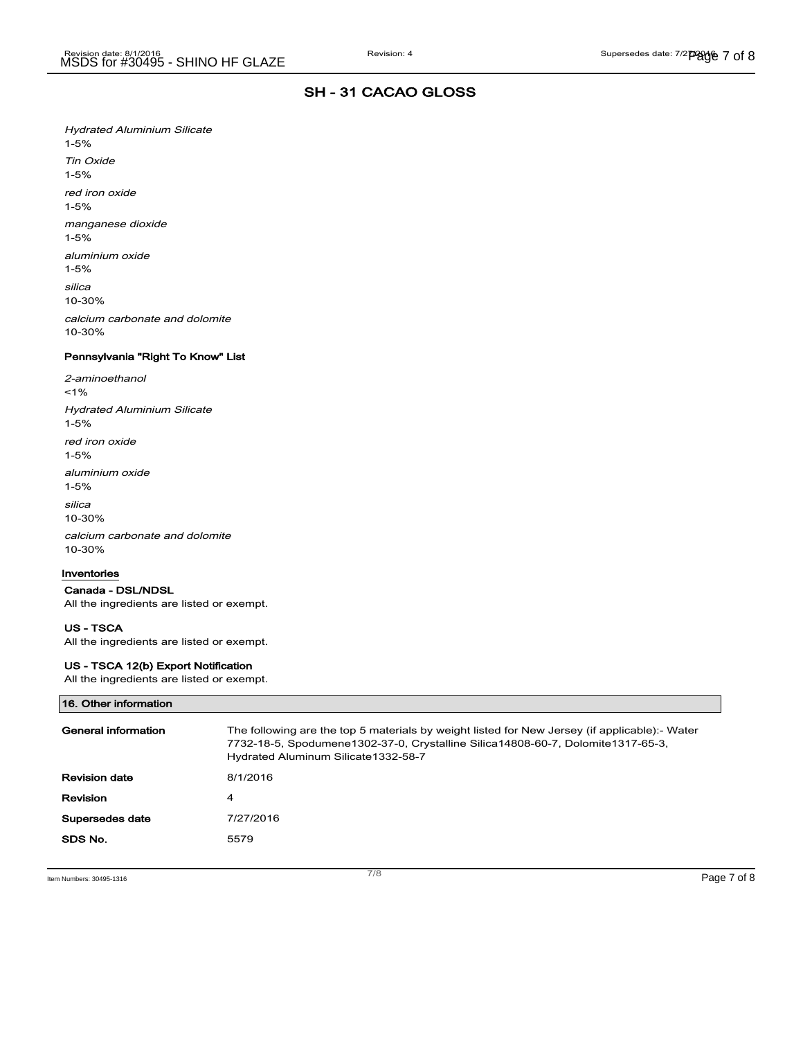Hydrated Aluminium Silicate 1-5% Tin Oxide 1-5% red iron oxide 1-5% manganese dioxide 1-5% aluminium oxide 1-5% silica 10-30% calcium carbonate and dolomite

Pennsylvania "Right To Know" List

2-aminoethanol  $1%$ Hydrated Aluminium Silicate 1-5% red iron oxide 1-5% aluminium oxide 1-5% silica 10-30% calcium carbonate and dolomite 10-30%

#### Inventories

10-30%

Canada - DSL/NDSL All the ingredients are listed or exempt.

## US - TSCA

All the ingredients are listed or exempt.

#### US - TSCA 12(b) Export Notification

All the ingredients are listed or exempt.

### 16. Other information

| General information  | The following are the top 5 materials by weight listed for New Jersey (if applicable):- Water<br>7732-18-5, Spodumene1302-37-0, Crystalline Silica14808-60-7, Dolomite1317-65-3,<br>Hydrated Aluminum Silicate 1332-58-7 |
|----------------------|--------------------------------------------------------------------------------------------------------------------------------------------------------------------------------------------------------------------------|
| <b>Revision date</b> | 8/1/2016                                                                                                                                                                                                                 |
| Revision             | 4                                                                                                                                                                                                                        |
| Supersedes date      | 7/27/2016                                                                                                                                                                                                                |
| SDS No.              | 5579                                                                                                                                                                                                                     |

Item Numbers: 30495-1316 Page 7 of 8